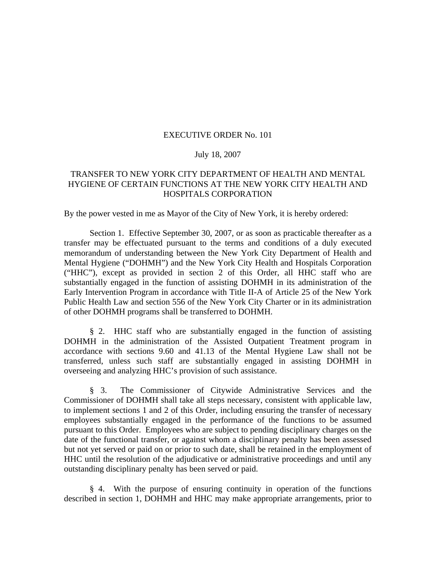## EXECUTIVE ORDER No. 101

## July 18, 2007

## TRANSFER TO NEW YORK CITY DEPARTMENT OF HEALTH AND MENTAL HYGIENE OF CERTAIN FUNCTIONS AT THE NEW YORK CITY HEALTH AND HOSPITALS CORPORATION

By the power vested in me as Mayor of the City of New York, it is hereby ordered:

 Section 1. Effective September 30, 2007, or as soon as practicable thereafter as a transfer may be effectuated pursuant to the terms and conditions of a duly executed memorandum of understanding between the New York City Department of Health and Mental Hygiene ("DOHMH") and the New York City Health and Hospitals Corporation ("HHC"), except as provided in section 2 of this Order, all HHC staff who are substantially engaged in the function of assisting DOHMH in its administration of the Early Intervention Program in accordance with Title II-A of Article 25 of the New York Public Health Law and section 556 of the New York City Charter or in its administration of other DOHMH programs shall be transferred to DOHMH.

§ 2. HHC staff who are substantially engaged in the function of assisting DOHMH in the administration of the Assisted Outpatient Treatment program in accordance with sections 9.60 and 41.13 of the Mental Hygiene Law shall not be transferred, unless such staff are substantially engaged in assisting DOHMH in overseeing and analyzing HHC's provision of such assistance.

 § 3. The Commissioner of Citywide Administrative Services and the Commissioner of DOHMH shall take all steps necessary, consistent with applicable law, to implement sections 1 and 2 of this Order, including ensuring the transfer of necessary employees substantially engaged in the performance of the functions to be assumed pursuant to this Order. Employees who are subject to pending disciplinary charges on the date of the functional transfer, or against whom a disciplinary penalty has been assessed but not yet served or paid on or prior to such date, shall be retained in the employment of HHC until the resolution of the adjudicative or administrative proceedings and until any outstanding disciplinary penalty has been served or paid.

 § 4. With the purpose of ensuring continuity in operation of the functions described in section 1, DOHMH and HHC may make appropriate arrangements, prior to